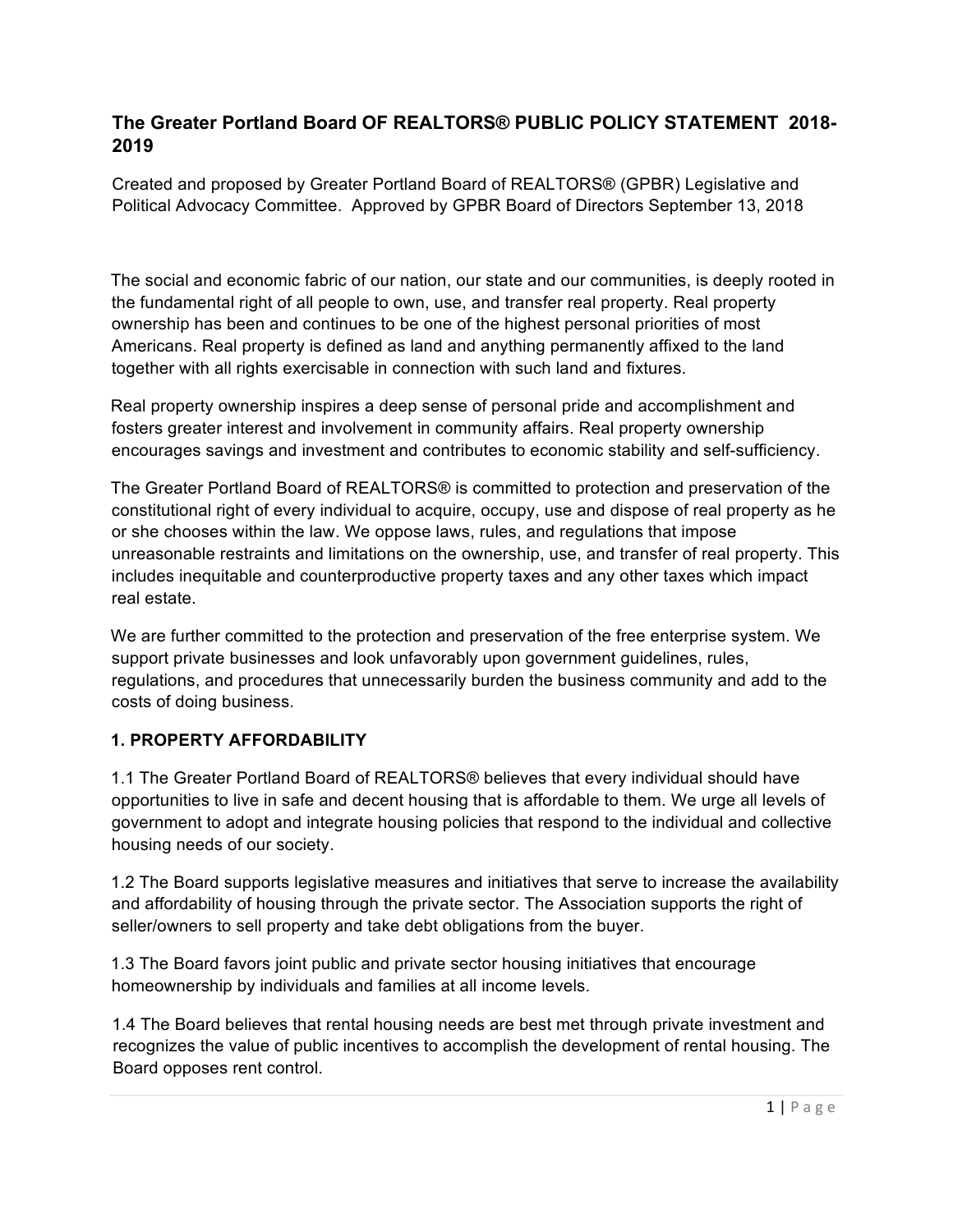# **The Greater Portland Board OF REALTORS® PUBLIC POLICY STATEMENT 2018- 2019**

Created and proposed by Greater Portland Board of REALTORS® (GPBR) Legislative and Political Advocacy Committee. Approved by GPBR Board of Directors September 13, 2018

The social and economic fabric of our nation, our state and our communities, is deeply rooted in the fundamental right of all people to own, use, and transfer real property. Real property ownership has been and continues to be one of the highest personal priorities of most Americans. Real property is defined as land and anything permanently affixed to the land together with all rights exercisable in connection with such land and fixtures.

Real property ownership inspires a deep sense of personal pride and accomplishment and fosters greater interest and involvement in community affairs. Real property ownership encourages savings and investment and contributes to economic stability and self-sufficiency.

The Greater Portland Board of REALTORS® is committed to protection and preservation of the constitutional right of every individual to acquire, occupy, use and dispose of real property as he or she chooses within the law. We oppose laws, rules, and regulations that impose unreasonable restraints and limitations on the ownership, use, and transfer of real property. This includes inequitable and counterproductive property taxes and any other taxes which impact real estate.

We are further committed to the protection and preservation of the free enterprise system. We support private businesses and look unfavorably upon government guidelines, rules, regulations, and procedures that unnecessarily burden the business community and add to the costs of doing business.

# **1. PROPERTY AFFORDABILITY**

1.1 The Greater Portland Board of REALTORS® believes that every individual should have opportunities to live in safe and decent housing that is affordable to them. We urge all levels of government to adopt and integrate housing policies that respond to the individual and collective housing needs of our society.

1.2 The Board supports legislative measures and initiatives that serve to increase the availability and affordability of housing through the private sector. The Association supports the right of seller/owners to sell property and take debt obligations from the buyer.

1.3 The Board favors joint public and private sector housing initiatives that encourage homeownership by individuals and families at all income levels.

1.4 The Board believes that rental housing needs are best met through private investment and recognizes the value of public incentives to accomplish the development of rental housing. The Board opposes rent control.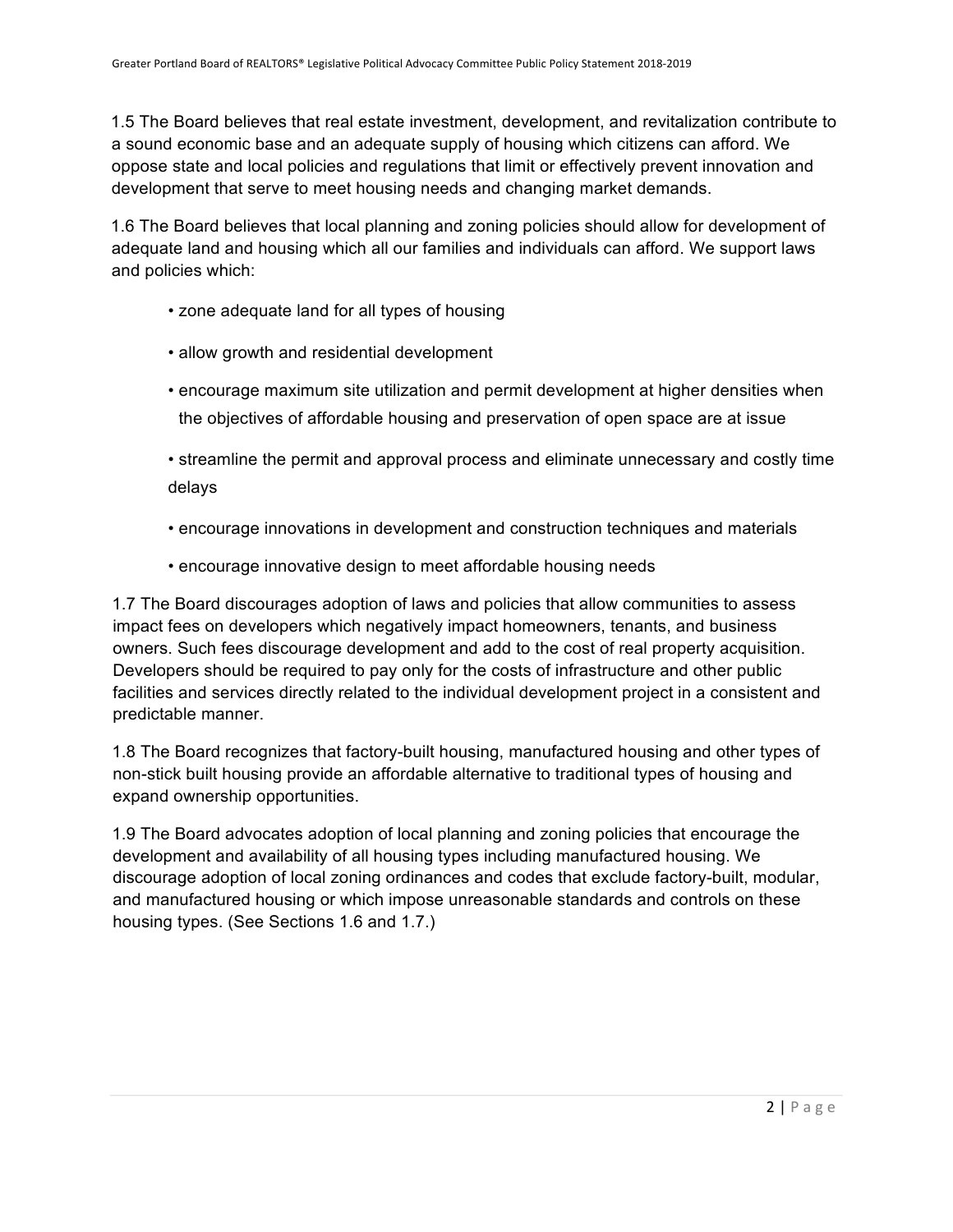1.5 The Board believes that real estate investment, development, and revitalization contribute to a sound economic base and an adequate supply of housing which citizens can afford. We oppose state and local policies and regulations that limit or effectively prevent innovation and development that serve to meet housing needs and changing market demands.

1.6 The Board believes that local planning and zoning policies should allow for development of adequate land and housing which all our families and individuals can afford. We support laws and policies which:

- zone adequate land for all types of housing
- allow growth and residential development
- encourage maximum site utilization and permit development at higher densities when the objectives of affordable housing and preservation of open space are at issue

• streamline the permit and approval process and eliminate unnecessary and costly time delays

- encourage innovations in development and construction techniques and materials
- encourage innovative design to meet affordable housing needs

1.7 The Board discourages adoption of laws and policies that allow communities to assess impact fees on developers which negatively impact homeowners, tenants, and business owners. Such fees discourage development and add to the cost of real property acquisition. Developers should be required to pay only for the costs of infrastructure and other public facilities and services directly related to the individual development project in a consistent and predictable manner.

1.8 The Board recognizes that factory-built housing, manufactured housing and other types of non-stick built housing provide an affordable alternative to traditional types of housing and expand ownership opportunities.

1.9 The Board advocates adoption of local planning and zoning policies that encourage the development and availability of all housing types including manufactured housing. We discourage adoption of local zoning ordinances and codes that exclude factory-built, modular, and manufactured housing or which impose unreasonable standards and controls on these housing types. (See Sections 1.6 and 1.7.)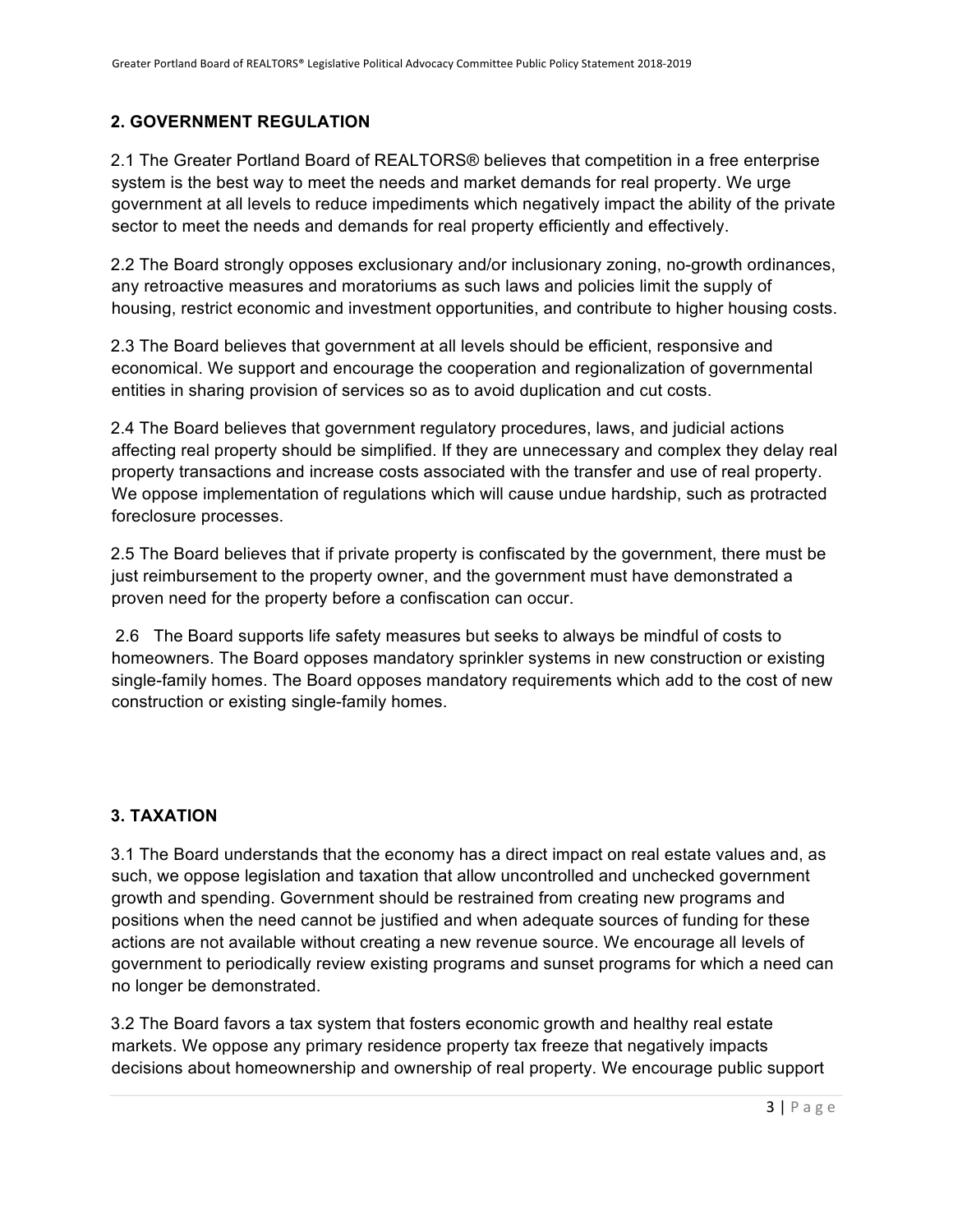## **2. GOVERNMENT REGULATION**

2.1 The Greater Portland Board of REALTORS® believes that competition in a free enterprise system is the best way to meet the needs and market demands for real property. We urge government at all levels to reduce impediments which negatively impact the ability of the private sector to meet the needs and demands for real property efficiently and effectively.

2.2 The Board strongly opposes exclusionary and/or inclusionary zoning, no-growth ordinances, any retroactive measures and moratoriums as such laws and policies limit the supply of housing, restrict economic and investment opportunities, and contribute to higher housing costs.

2.3 The Board believes that government at all levels should be efficient, responsive and economical. We support and encourage the cooperation and regionalization of governmental entities in sharing provision of services so as to avoid duplication and cut costs.

2.4 The Board believes that government regulatory procedures, laws, and judicial actions affecting real property should be simplified. If they are unnecessary and complex they delay real property transactions and increase costs associated with the transfer and use of real property. We oppose implementation of regulations which will cause undue hardship, such as protracted foreclosure processes.

2.5 The Board believes that if private property is confiscated by the government, there must be just reimbursement to the property owner, and the government must have demonstrated a proven need for the property before a confiscation can occur.

2.6 The Board supports life safety measures but seeks to always be mindful of costs to homeowners. The Board opposes mandatory sprinkler systems in new construction or existing single-family homes. The Board opposes mandatory requirements which add to the cost of new construction or existing single-family homes.

# **3. TAXATION**

3.1 The Board understands that the economy has a direct impact on real estate values and, as such, we oppose legislation and taxation that allow uncontrolled and unchecked government growth and spending. Government should be restrained from creating new programs and positions when the need cannot be justified and when adequate sources of funding for these actions are not available without creating a new revenue source. We encourage all levels of government to periodically review existing programs and sunset programs for which a need can no longer be demonstrated.

3.2 The Board favors a tax system that fosters economic growth and healthy real estate markets. We oppose any primary residence property tax freeze that negatively impacts decisions about homeownership and ownership of real property. We encourage public support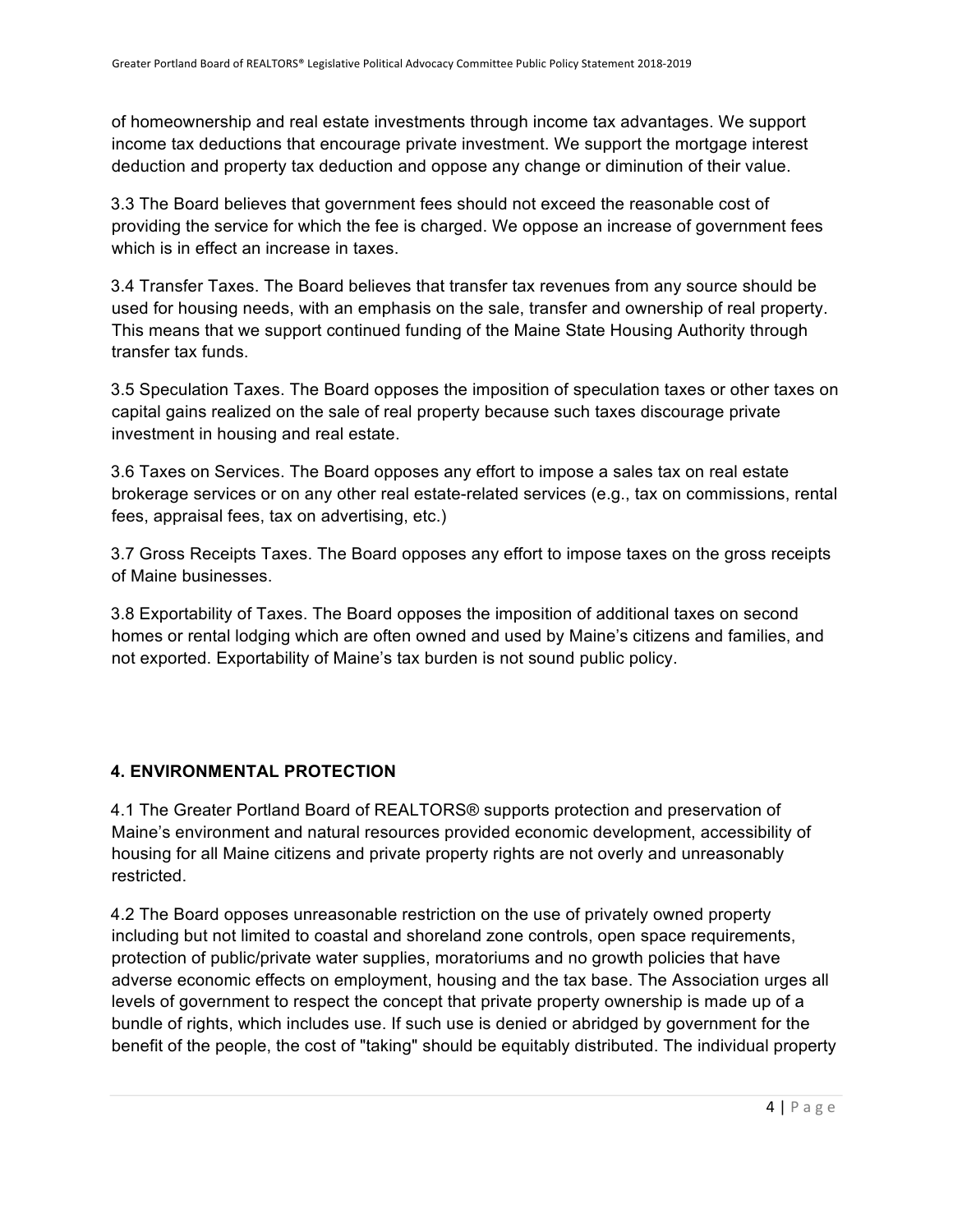of homeownership and real estate investments through income tax advantages. We support income tax deductions that encourage private investment. We support the mortgage interest deduction and property tax deduction and oppose any change or diminution of their value.

3.3 The Board believes that government fees should not exceed the reasonable cost of providing the service for which the fee is charged. We oppose an increase of government fees which is in effect an increase in taxes.

3.4 Transfer Taxes. The Board believes that transfer tax revenues from any source should be used for housing needs, with an emphasis on the sale, transfer and ownership of real property. This means that we support continued funding of the Maine State Housing Authority through transfer tax funds.

3.5 Speculation Taxes. The Board opposes the imposition of speculation taxes or other taxes on capital gains realized on the sale of real property because such taxes discourage private investment in housing and real estate.

3.6 Taxes on Services. The Board opposes any effort to impose a sales tax on real estate brokerage services or on any other real estate-related services (e.g., tax on commissions, rental fees, appraisal fees, tax on advertising, etc.)

3.7 Gross Receipts Taxes. The Board opposes any effort to impose taxes on the gross receipts of Maine businesses.

3.8 Exportability of Taxes. The Board opposes the imposition of additional taxes on second homes or rental lodging which are often owned and used by Maine's citizens and families, and not exported. Exportability of Maine's tax burden is not sound public policy.

## **4. ENVIRONMENTAL PROTECTION**

4.1 The Greater Portland Board of REALTORS® supports protection and preservation of Maine's environment and natural resources provided economic development, accessibility of housing for all Maine citizens and private property rights are not overly and unreasonably restricted.

4.2 The Board opposes unreasonable restriction on the use of privately owned property including but not limited to coastal and shoreland zone controls, open space requirements, protection of public/private water supplies, moratoriums and no growth policies that have adverse economic effects on employment, housing and the tax base. The Association urges all levels of government to respect the concept that private property ownership is made up of a bundle of rights, which includes use. If such use is denied or abridged by government for the benefit of the people, the cost of "taking" should be equitably distributed. The individual property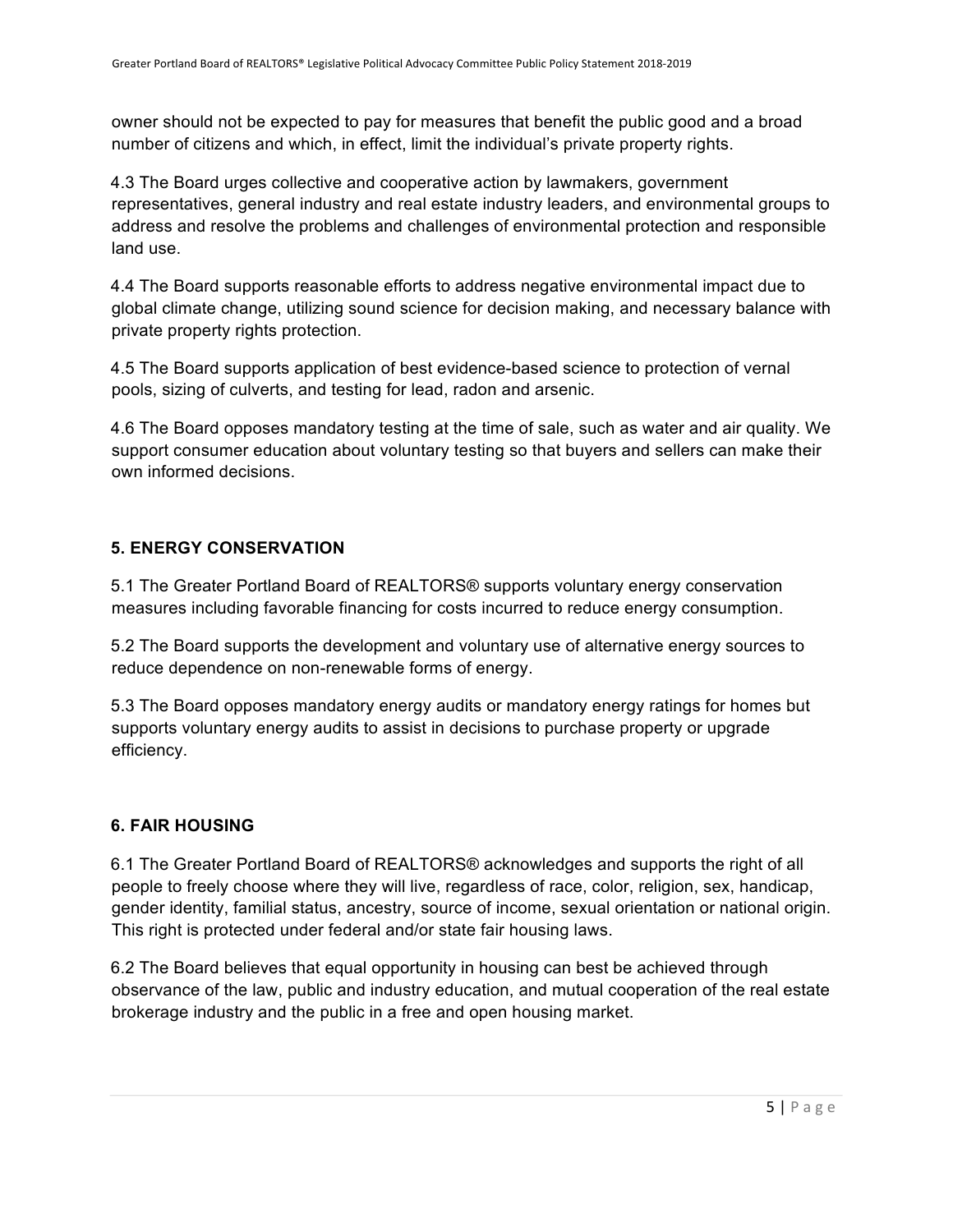owner should not be expected to pay for measures that benefit the public good and a broad number of citizens and which, in effect, limit the individual's private property rights.

4.3 The Board urges collective and cooperative action by lawmakers, government representatives, general industry and real estate industry leaders, and environmental groups to address and resolve the problems and challenges of environmental protection and responsible land use.

4.4 The Board supports reasonable efforts to address negative environmental impact due to global climate change, utilizing sound science for decision making, and necessary balance with private property rights protection.

4.5 The Board supports application of best evidence-based science to protection of vernal pools, sizing of culverts, and testing for lead, radon and arsenic.

4.6 The Board opposes mandatory testing at the time of sale, such as water and air quality. We support consumer education about voluntary testing so that buyers and sellers can make their own informed decisions.

#### **5. ENERGY CONSERVATION**

5.1 The Greater Portland Board of REALTORS® supports voluntary energy conservation measures including favorable financing for costs incurred to reduce energy consumption.

5.2 The Board supports the development and voluntary use of alternative energy sources to reduce dependence on non-renewable forms of energy.

5.3 The Board opposes mandatory energy audits or mandatory energy ratings for homes but supports voluntary energy audits to assist in decisions to purchase property or upgrade efficiency.

## **6. FAIR HOUSING**

6.1 The Greater Portland Board of REALTORS® acknowledges and supports the right of all people to freely choose where they will live, regardless of race, color, religion, sex, handicap, gender identity, familial status, ancestry, source of income, sexual orientation or national origin. This right is protected under federal and/or state fair housing laws.

6.2 The Board believes that equal opportunity in housing can best be achieved through observance of the law, public and industry education, and mutual cooperation of the real estate brokerage industry and the public in a free and open housing market.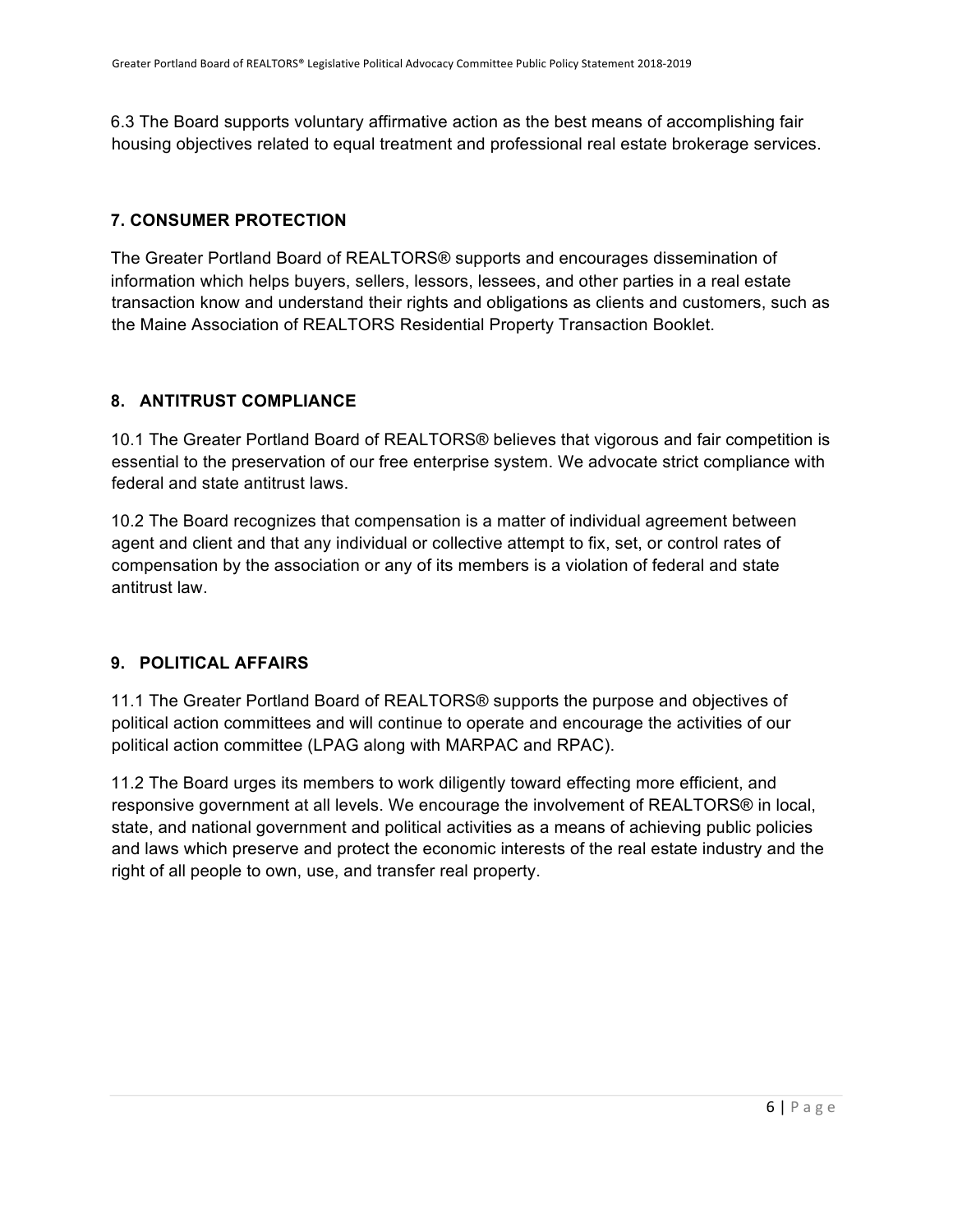6.3 The Board supports voluntary affirmative action as the best means of accomplishing fair housing objectives related to equal treatment and professional real estate brokerage services.

#### **7. CONSUMER PROTECTION**

The Greater Portland Board of REALTORS® supports and encourages dissemination of information which helps buyers, sellers, lessors, lessees, and other parties in a real estate transaction know and understand their rights and obligations as clients and customers, such as the Maine Association of REALTORS Residential Property Transaction Booklet.

#### **8. ANTITRUST COMPLIANCE**

10.1 The Greater Portland Board of REALTORS® believes that vigorous and fair competition is essential to the preservation of our free enterprise system. We advocate strict compliance with federal and state antitrust laws.

10.2 The Board recognizes that compensation is a matter of individual agreement between agent and client and that any individual or collective attempt to fix, set, or control rates of compensation by the association or any of its members is a violation of federal and state antitrust law.

## **9. POLITICAL AFFAIRS**

11.1 The Greater Portland Board of REALTORS® supports the purpose and objectives of political action committees and will continue to operate and encourage the activities of our political action committee (LPAG along with MARPAC and RPAC).

11.2 The Board urges its members to work diligently toward effecting more efficient, and responsive government at all levels. We encourage the involvement of REALTORS® in local, state, and national government and political activities as a means of achieving public policies and laws which preserve and protect the economic interests of the real estate industry and the right of all people to own, use, and transfer real property.